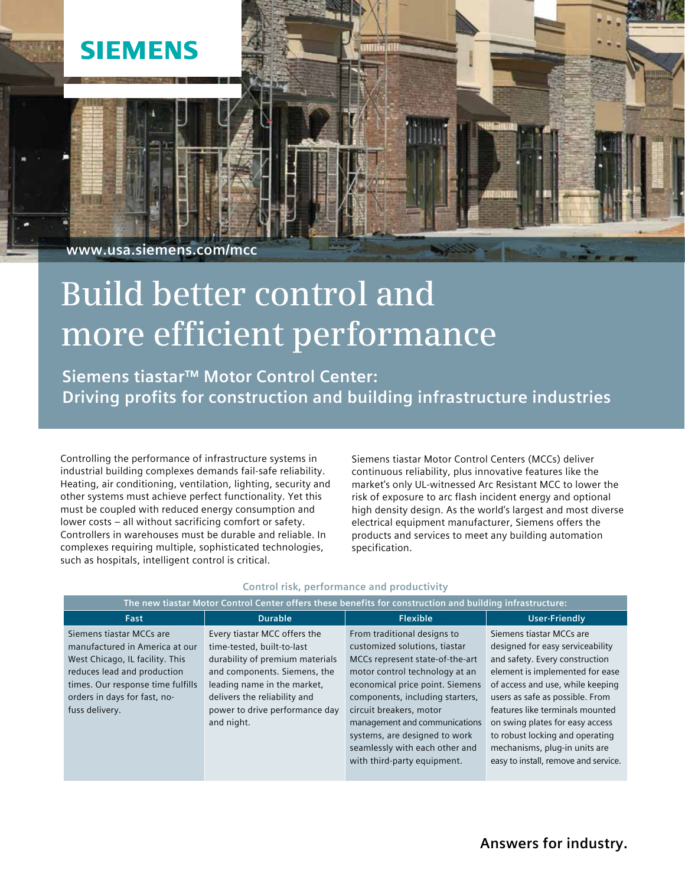

# **Build better control and more efficient performance**

**Siemens tiastar™ Motor Control Center: Driving profits for construction and building infrastructure industries**

Controlling the performance of infrastructure systems in industrial building complexes demands fail-safe reliability. Heating, air conditioning, ventilation, lighting, security and other systems must achieve perfect functionality. Yet this must be coupled with reduced energy consumption and lower costs – all without sacrificing comfort or safety. Controllers in warehouses must be durable and reliable. In complexes requiring multiple, sophisticated technologies, such as hospitals, intelligent control is critical.

Siemens tiastar Motor Control Centers (MCCs) deliver continuous reliability, plus innovative features like the market's only UL-witnessed Arc Resistant MCC to lower the risk of exposure to arc flash incident energy and optional high density design. As the world's largest and most diverse electrical equipment manufacturer, Siemens offers the products and services to meet any building automation specification.

| The new tiastar Motor Control Center offers these benefits for construction and building infrastructure:                                                                                                            |                                                                                                                                                                                                                                              |                                                                                                                                                                                                                                                                                                                                                                       |                                                                                                                                                                                                                                                                                                                                                                                            |
|---------------------------------------------------------------------------------------------------------------------------------------------------------------------------------------------------------------------|----------------------------------------------------------------------------------------------------------------------------------------------------------------------------------------------------------------------------------------------|-----------------------------------------------------------------------------------------------------------------------------------------------------------------------------------------------------------------------------------------------------------------------------------------------------------------------------------------------------------------------|--------------------------------------------------------------------------------------------------------------------------------------------------------------------------------------------------------------------------------------------------------------------------------------------------------------------------------------------------------------------------------------------|
| Fast                                                                                                                                                                                                                | <b>Durable</b>                                                                                                                                                                                                                               | <b>Flexible</b>                                                                                                                                                                                                                                                                                                                                                       | <b>User-Friendly</b>                                                                                                                                                                                                                                                                                                                                                                       |
| Siemens tiastar MCCs are<br>manufactured in America at our<br>West Chicago, IL facility. This<br>reduces lead and production<br>times. Our response time fulfills<br>orders in days for fast, no-<br>fuss delivery. | Every tiastar MCC offers the<br>time-tested, built-to-last<br>durability of premium materials<br>and components. Siemens, the<br>leading name in the market,<br>delivers the reliability and<br>power to drive performance day<br>and night. | From traditional designs to<br>customized solutions, tiastar<br>MCCs represent state-of-the-art<br>motor control technology at an<br>economical price point. Siemens<br>components, including starters,<br>circuit breakers, motor<br>management and communications<br>systems, are designed to work<br>seamlessly with each other and<br>with third-party equipment. | Siemens tiastar MCCs are<br>designed for easy serviceability<br>and safety. Every construction<br>element is implemented for ease<br>of access and use, while keeping<br>users as safe as possible. From<br>features like terminals mounted<br>on swing plates for easy access<br>to robust locking and operating<br>mechanisms, plug-in units are<br>easy to install, remove and service. |

# **Control risk, performance and productivity**